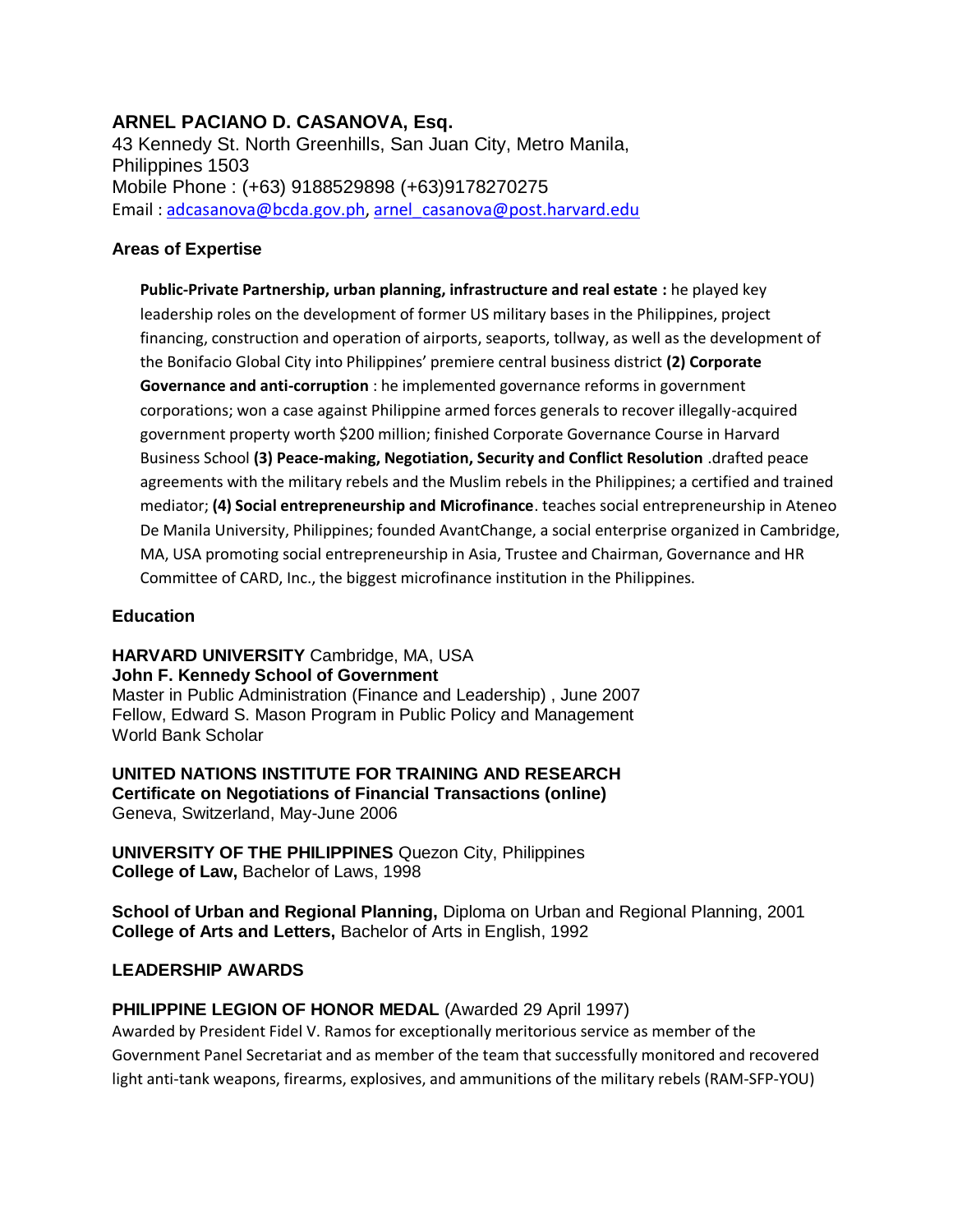# **ARNEL PACIANO D. CASANOVA, Esq.**

43 Kennedy St. North Greenhills, San Juan City, Metro Manila, Philippines 1503 Mobile Phone : (+63) 9188529898 (+63)9178270275 Email: [adcasanova@bcda.gov.ph,](mailto:adcasanova@bcda.gov.ph) [arnel\\_casanova@post.harvard.edu](mailto:arnel_casanova@post.harvard.edu)

# **Areas of Expertise**

**Public-Private Partnership, urban planning, infrastructure and real estate :** he played key leadership roles on the development of former US military bases in the Philippines, project financing, construction and operation of airports, seaports, tollway, as well as the development of the Bonifacio Global City into Philippines' premiere central business district **(2) Corporate Governance and anti-corruption** : he implemented governance reforms in government corporations; won a case against Philippine armed forces generals to recover illegally-acquired government property worth \$200 million; finished Corporate Governance Course in Harvard Business School **(3) Peace-making, Negotiation, Security and Conflict Resolution** .drafted peace agreements with the military rebels and the Muslim rebels in the Philippines; a certified and trained mediator; **(4) Social entrepreneurship and Microfinance**. teaches social entrepreneurship in Ateneo De Manila University, Philippines; founded AvantChange, a social enterprise organized in Cambridge, MA, USA promoting social entrepreneurship in Asia, Trustee and Chairman, Governance and HR Committee of CARD, Inc., the biggest microfinance institution in the Philippines.

# **Education**

**HARVARD UNIVERSITY** Cambridge, MA, USA

# **John F. Kennedy School of Government**

Master in Public Administration (Finance and Leadership) , June 2007 Fellow, Edward S. Mason Program in Public Policy and Management World Bank Scholar

**UNITED NATIONS INSTITUTE FOR TRAINING AND RESEARCH Certificate on Negotiations of Financial Transactions (online)**  Geneva, Switzerland, May-June 2006

**UNIVERSITY OF THE PHILIPPINES** Quezon City, Philippines **College of Law,** Bachelor of Laws, 1998

**School of Urban and Regional Planning,** Diploma on Urban and Regional Planning, 2001 **College of Arts and Letters,** Bachelor of Arts in English, 1992

# **LEADERSHIP AWARDS**

# **PHILIPPINE LEGION OF HONOR MEDAL (Awarded 29 April 1997)**

Awarded by President Fidel V. Ramos for exceptionally meritorious service as member of the Government Panel Secretariat and as member of the team that successfully monitored and recovered light anti-tank weapons, firearms, explosives, and ammunitions of the military rebels (RAM-SFP-YOU)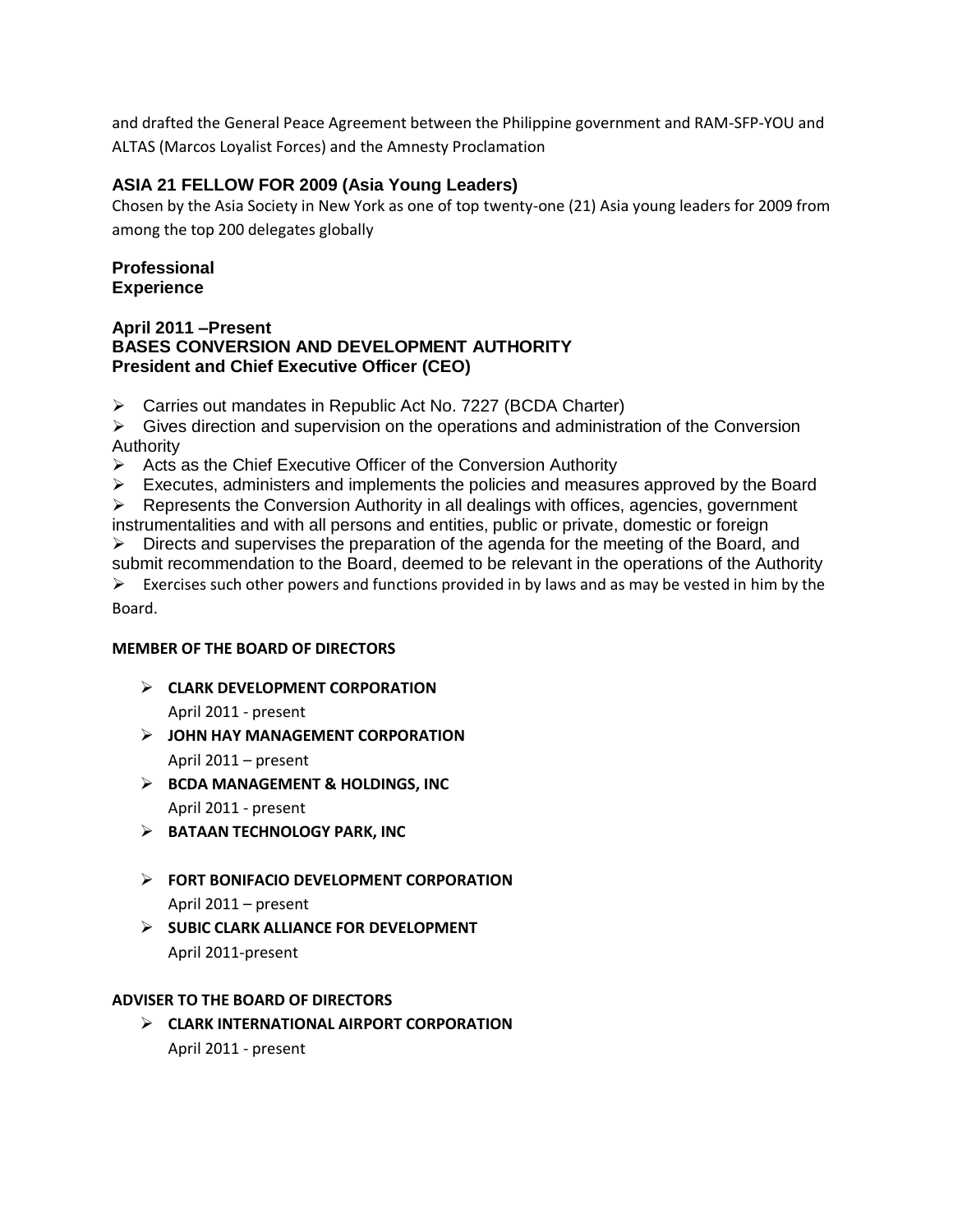and drafted the General Peace Agreement between the Philippine government and RAM-SFP-YOU and ALTAS (Marcos Loyalist Forces) and the Amnesty Proclamation

# **ASIA 21 FELLOW FOR 2009 (Asia Young Leaders)**

Chosen by the Asia Society in New York as one of top twenty-one (21) Asia young leaders for 2009 from among the top 200 delegates globally

## **Professional Experience**

#### **April 2011 –Present BASES CONVERSION AND DEVELOPMENT AUTHORITY President and Chief Executive Officer (CEO)**

Carries out mandates in Republic Act No. 7227 (BCDA Charter)

 $\triangleright$  Gives direction and supervision on the operations and administration of the Conversion Authority

 $\triangleright$  Acts as the Chief Executive Officer of the Conversion Authority

 $\triangleright$  Executes, administers and implements the policies and measures approved by the Board

 $\triangleright$  Represents the Conversion Authority in all dealings with offices, agencies, government instrumentalities and with all persons and entities, public or private, domestic or foreign

 $\triangleright$  Directs and supervises the preparation of the agenda for the meeting of the Board, and submit recommendation to the Board, deemed to be relevant in the operations of the Authority

 $\triangleright$  Exercises such other powers and functions provided in by laws and as may be vested in him by the Board.

# **MEMBER OF THE BOARD OF DIRECTORS**

**CLARK DEVELOPMENT CORPORATION**

April 2011 - present

- **JOHN HAY MANAGEMENT CORPORATION** April 2011 – present
- **BCDA MANAGEMENT & HOLDINGS, INC** April 2011 - present
- **BATAAN TECHNOLOGY PARK, INC**
- **FORT BONIFACIO DEVELOPMENT CORPORATION**

April 2011 – present

 **SUBIC CLARK ALLIANCE FOR DEVELOPMENT** April 2011-present

## **ADVISER TO THE BOARD OF DIRECTORS**

 **CLARK INTERNATIONAL AIRPORT CORPORATION** April 2011 - present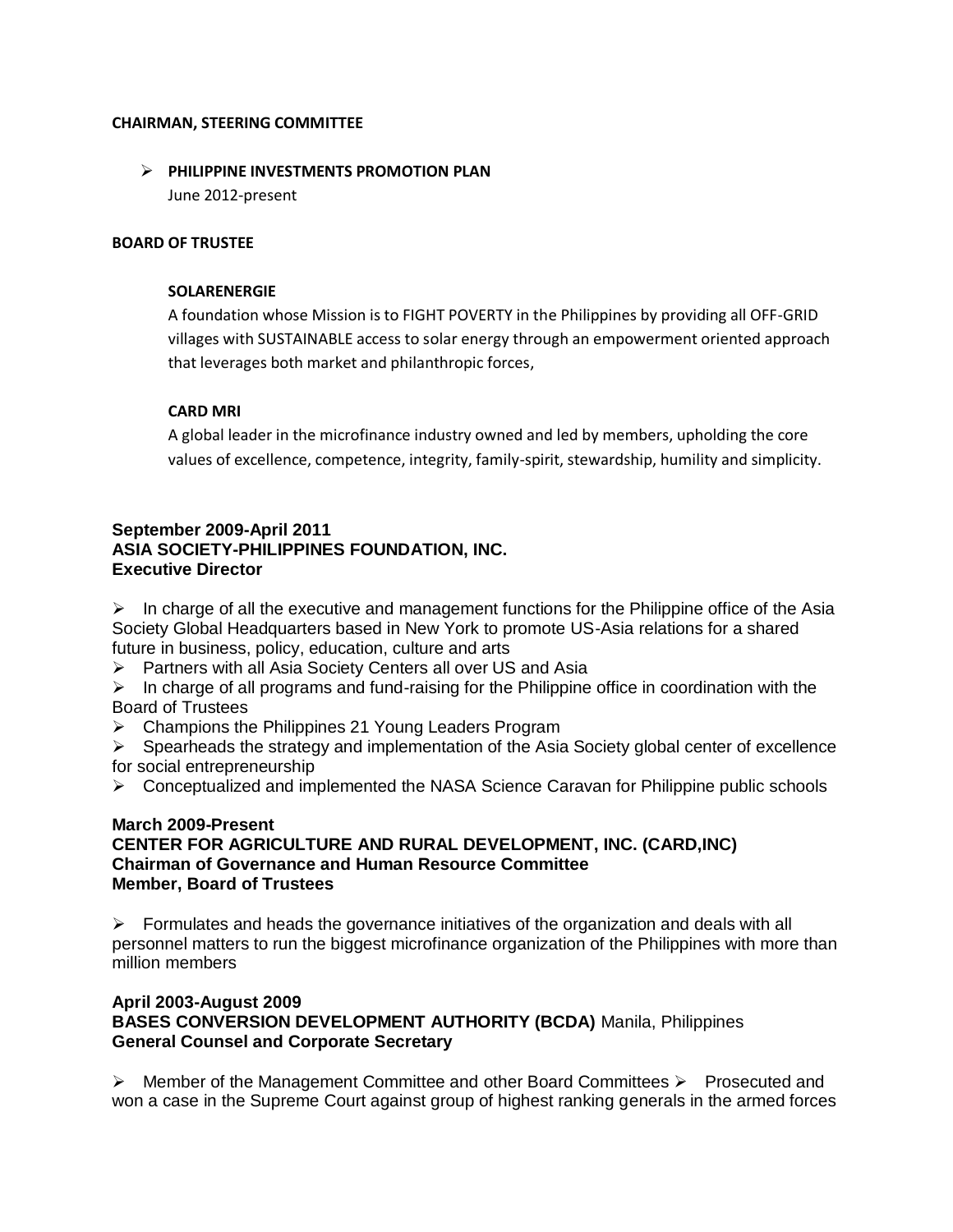#### **CHAIRMAN, STEERING COMMITTEE**

# **PHILIPPINE INVESTMENTS PROMOTION PLAN**

June 2012-present

#### **BOARD OF TRUSTEE**

#### **SOLARENERGIE**

A foundation whose Mission is to FIGHT POVERTY in the Philippines by providing all OFF-GRID villages with SUSTAINABLE access to solar energy through an empowerment oriented approach that leverages both market and philanthropic forces,

## **CARD MRI**

A global leader in the microfinance industry owned and led by members, upholding the core values of excellence, competence, integrity, family-spirit, stewardship, humility and simplicity.

# **September 2009-April 2011 ASIA SOCIETY-PHILIPPINES FOUNDATION, INC. Executive Director**

 $\triangleright$  In charge of all the executive and management functions for the Philippine office of the Asia Society Global Headquarters based in New York to promote US-Asia relations for a shared future in business, policy, education, culture and arts

> Partners with all Asia Society Centers all over US and Asia

 $\triangleright$  In charge of all programs and fund-raising for the Philippine office in coordination with the Board of Trustees

▶ Champions the Philippines 21 Young Leaders Program

 $\triangleright$  Spearheads the strategy and implementation of the Asia Society global center of excellence for social entrepreneurship

 $\triangleright$  Conceptualized and implemented the NASA Science Caravan for Philippine public schools

#### **March 2009-Present CENTER FOR AGRICULTURE AND RURAL DEVELOPMENT, INC. (CARD,INC) Chairman of Governance and Human Resource Committee Member, Board of Trustees**

 $\triangleright$  Formulates and heads the governance initiatives of the organization and deals with all personnel matters to run the biggest microfinance organization of the Philippines with more than million members

#### **April 2003-August 2009 BASES CONVERSION DEVELOPMENT AUTHORITY (BCDA)** Manila, Philippines **General Counsel and Corporate Secretary**

 $\triangleright$  Member of the Management Committee and other Board Committees  $\triangleright$  Prosecuted and won a case in the Supreme Court against group of highest ranking generals in the armed forces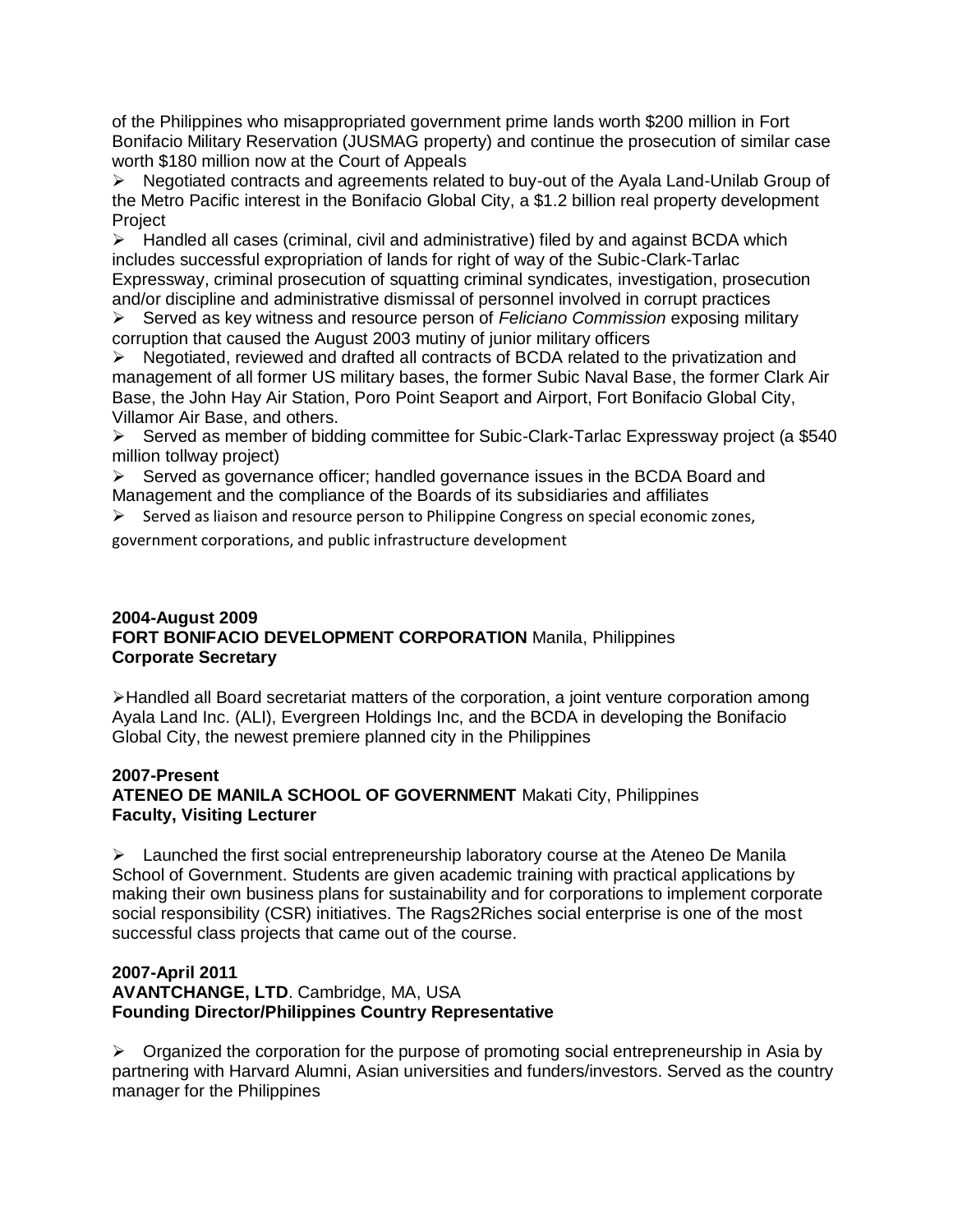of the Philippines who misappropriated government prime lands worth \$200 million in Fort Bonifacio Military Reservation (JUSMAG property) and continue the prosecution of similar case worth \$180 million now at the Court of Appeals

 $\triangleright$  Negotiated contracts and agreements related to buy-out of the Ayala Land-Unilab Group of the Metro Pacific interest in the Bonifacio Global City, a \$1.2 billion real property development **Project** 

 $\triangleright$  Handled all cases (criminal, civil and administrative) filed by and against BCDA which includes successful expropriation of lands for right of way of the Subic-Clark-Tarlac Expressway, criminal prosecution of squatting criminal syndicates, investigation, prosecution and/or discipline and administrative dismissal of personnel involved in corrupt practices

Served as key witness and resource person of *Feliciano Commission* exposing military corruption that caused the August 2003 mutiny of junior military officers

 $\triangleright$  Negotiated, reviewed and drafted all contracts of BCDA related to the privatization and management of all former US military bases, the former Subic Naval Base, the former Clark Air Base, the John Hay Air Station, Poro Point Seaport and Airport, Fort Bonifacio Global City, Villamor Air Base, and others.

Served as member of bidding committee for Subic-Clark-Tarlac Expressway project (a \$540) million tollway project)

 $\triangleright$  Served as governance officer; handled governance issues in the BCDA Board and Management and the compliance of the Boards of its subsidiaries and affiliates

 $\triangleright$  Served as liaison and resource person to Philippine Congress on special economic zones,

government corporations, and public infrastructure development

# **2004-August 2009 FORT BONIFACIO DEVELOPMENT CORPORATION** Manila, Philippines **Corporate Secretary**

Handled all Board secretariat matters of the corporation, a joint venture corporation among Ayala Land Inc. (ALI), Evergreen Holdings Inc, and the BCDA in developing the Bonifacio Global City, the newest premiere planned city in the Philippines

# **2007-Present**

# **ATENEO DE MANILA SCHOOL OF GOVERNMENT** Makati City, Philippines **Faculty, Visiting Lecturer**

 $\triangleright$  Launched the first social entrepreneurship laboratory course at the Ateneo De Manila School of Government. Students are given academic training with practical applications by making their own business plans for sustainability and for corporations to implement corporate social responsibility (CSR) initiatives. The Rags2Riches social enterprise is one of the most successful class projects that came out of the course.

#### **2007-April 2011 AVANTCHANGE, LTD**. Cambridge, MA, USA **Founding Director/Philippines Country Representative**

 $\triangleright$  Organized the corporation for the purpose of promoting social entrepreneurship in Asia by partnering with Harvard Alumni, Asian universities and funders/investors. Served as the country manager for the Philippines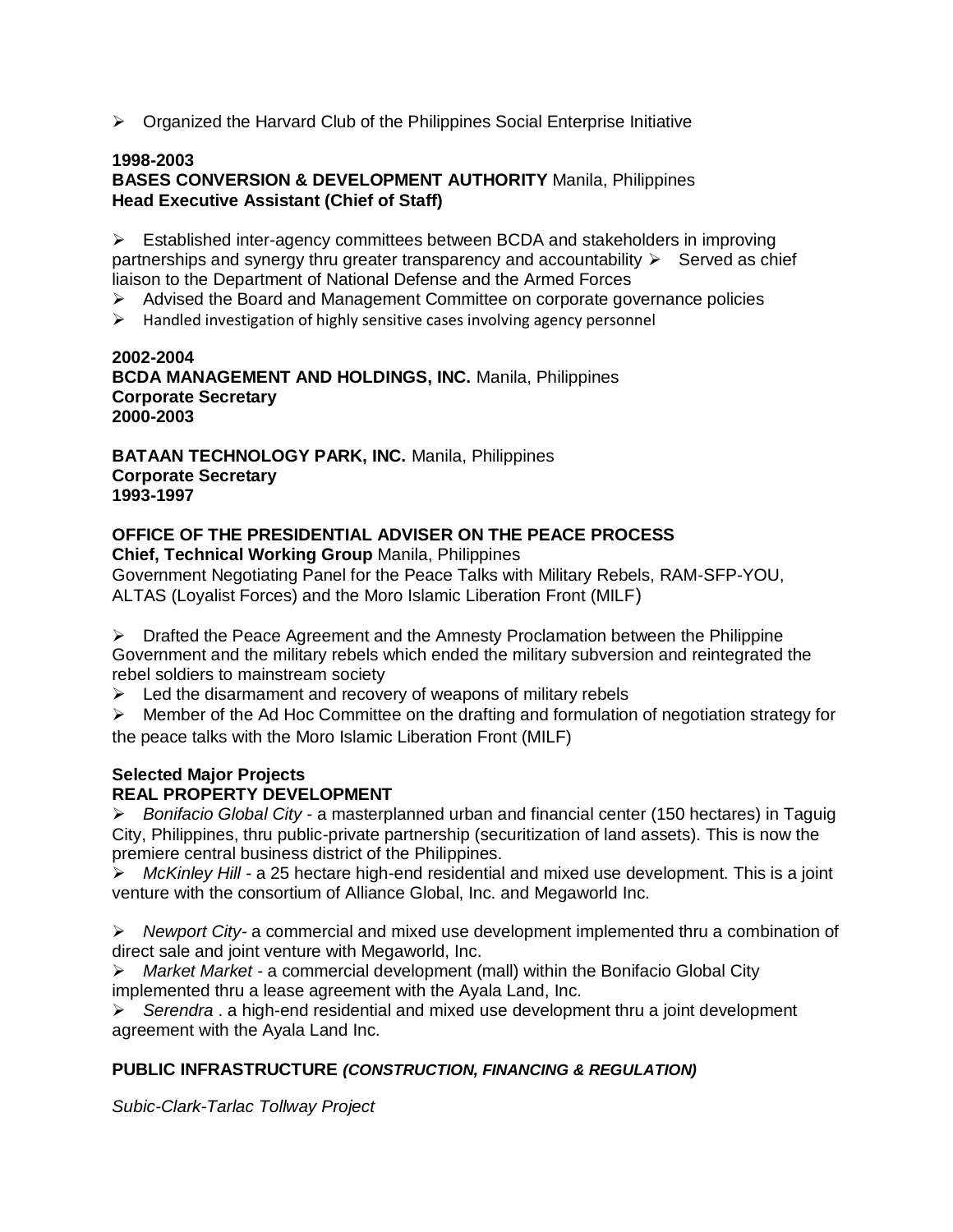$\triangleright$  Organized the Harvard Club of the Philippines Social Enterprise Initiative

## **1998-2003**

# **BASES CONVERSION & DEVELOPMENT AUTHORITY** Manila, Philippines **Head Executive Assistant (Chief of Staff)**

 $\triangleright$  Established inter-agency committees between BCDA and stakeholders in improving partnerships and synergy thru greater transparency and accountability  $\triangleright$  Served as chief liaison to the Department of National Defense and the Armed Forces

- Advised the Board and Management Committee on corporate governance policies
- $\triangleright$  Handled investigation of highly sensitive cases involving agency personnel

## **2002-2004 BCDA MANAGEMENT AND HOLDINGS, INC.** Manila, Philippines **Corporate Secretary 2000-2003**

**BATAAN TECHNOLOGY PARK, INC.** Manila, Philippines **Corporate Secretary 1993-1997** 

#### **OFFICE OF THE PRESIDENTIAL ADVISER ON THE PEACE PROCESS Chief, Technical Working Group** Manila, Philippines

Government Negotiating Panel for the Peace Talks with Military Rebels, RAM-SFP-YOU, ALTAS (Loyalist Forces) and the Moro Islamic Liberation Front (MILF)

Drafted the Peace Agreement and the Amnesty Proclamation between the Philippine Government and the military rebels which ended the military subversion and reintegrated the rebel soldiers to mainstream society

- $\triangleright$  Led the disarmament and recovery of weapons of military rebels
- $\triangleright$  Member of the Ad Hoc Committee on the drafting and formulation of negotiation strategy for the peace talks with the Moro Islamic Liberation Front (MILF)

# **Selected Major Projects**

# **REAL PROPERTY DEVELOPMENT**

*Bonifacio Global City* - a masterplanned urban and financial center (150 hectares) in Taguig City, Philippines, thru public-private partnership (securitization of land assets). This is now the premiere central business district of the Philippines.

*McKinley Hill -* a 25 hectare high-end residential and mixed use development. This is a joint venture with the consortium of Alliance Global, Inc. and Megaworld Inc.

*Newport City-* a commercial and mixed use development implemented thru a combination of direct sale and joint venture with Megaworld, Inc.

*Market Market* - a commercial development (mall) within the Bonifacio Global City implemented thru a lease agreement with the Ayala Land, Inc.

*Serendra* . a high-end residential and mixed use development thru a joint development agreement with the Ayala Land Inc.

# **PUBLIC INFRASTRUCTURE** *(CONSTRUCTION, FINANCING & REGULATION)*

*Subic-Clark-Tarlac Tollway Project*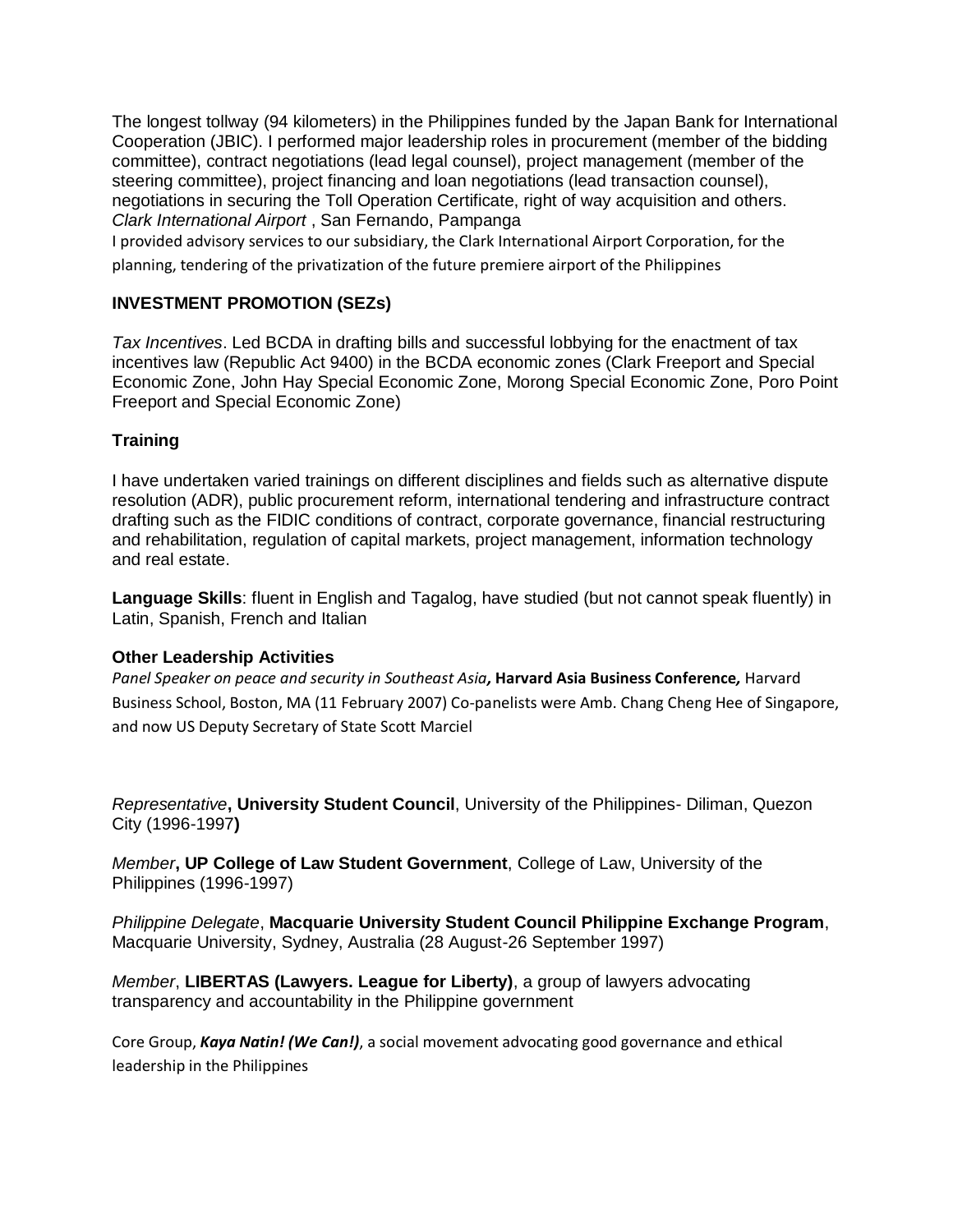The longest tollway (94 kilometers) in the Philippines funded by the Japan Bank for International Cooperation (JBIC). I performed major leadership roles in procurement (member of the bidding committee), contract negotiations (lead legal counsel), project management (member of the steering committee), project financing and loan negotiations (lead transaction counsel), negotiations in securing the Toll Operation Certificate, right of way acquisition and others. *Clark International Airport* , San Fernando, Pampanga

I provided advisory services to our subsidiary, the Clark International Airport Corporation, for the planning, tendering of the privatization of the future premiere airport of the Philippines

# **INVESTMENT PROMOTION (SEZs)**

*Tax Incentives*. Led BCDA in drafting bills and successful lobbying for the enactment of tax incentives law (Republic Act 9400) in the BCDA economic zones (Clark Freeport and Special Economic Zone, John Hay Special Economic Zone, Morong Special Economic Zone, Poro Point Freeport and Special Economic Zone)

# **Training**

I have undertaken varied trainings on different disciplines and fields such as alternative dispute resolution (ADR), public procurement reform, international tendering and infrastructure contract drafting such as the FIDIC conditions of contract, corporate governance, financial restructuring and rehabilitation, regulation of capital markets, project management, information technology and real estate.

**Language Skills**: fluent in English and Tagalog, have studied (but not cannot speak fluently) in Latin, Spanish, French and Italian

# **Other Leadership Activities**

*Panel Speaker on peace and security in Southeast Asia,* **Harvard Asia Business Conference***,* Harvard Business School, Boston, MA (11 February 2007) Co-panelists were Amb. Chang Cheng Hee of Singapore, and now US Deputy Secretary of State Scott Marciel

*Representative***, University Student Council**, University of the Philippines- Diliman, Quezon City (1996-1997**)** 

*Member***, UP College of Law Student Government**, College of Law, University of the Philippines (1996-1997)

*Philippine Delegate*, **Macquarie University Student Council Philippine Exchange Program**, Macquarie University, Sydney, Australia (28 August-26 September 1997)

*Member*, **LIBERTAS (Lawyers. League for Liberty)**, a group of lawyers advocating transparency and accountability in the Philippine government

Core Group, *Kaya Natin! (We Can!)*, a social movement advocating good governance and ethical leadership in the Philippines